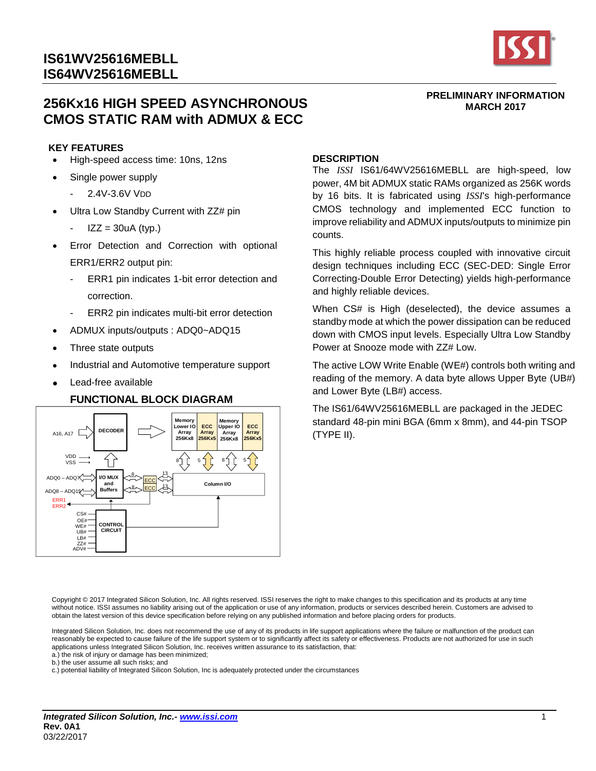# **256Kx16 HIGH SPEED ASYNCHRONOUS CMOS STATIC RAM with ADMUX & ECC**

#### **KEY FEATURES**

- High-speed access time: 10ns, 12ns
- Single power supply
	- 2.4V-3.6V VDD
- Ultra Low Standby Current with ZZ# pin
	- $IZZ = 30uA$  (typ.)
- Error Detection and Correction with optional ERR1/ERR2 output pin:
	- ERR1 pin indicates 1-bit error detection and correction.
	- ERR2 pin indicates multi-bit error detection
- ADMUX inputs/outputs : ADQ0~ADQ15
- Three state outputs
- Industrial and Automotive temperature support
- Lead-free available

#### **FUNCTIONAL BLOCK DIAGRAM**



#### **DESCRIPTION**

The *ISSI* IS61/64WV25616MEBLL are high-speed, low power, 4M bit ADMUX static RAMs organized as 256K words by 16 bits. It is fabricated using *ISSI*'s high-performance CMOS technology and implemented ECC function to improve reliability and ADMUX inputs/outputs to minimize pin counts.

This highly reliable process coupled with innovative circuit design techniques including ECC (SEC-DED: Single Error Correcting-Double Error Detecting) yields high-performance and highly reliable devices.

When CS# is High (deselected), the device assumes a standby mode at which the power dissipation can be reduced down with CMOS input levels. Especially Ultra Low Standby Power at Snooze mode with ZZ# Low.

The active LOW Write Enable (WE#) controls both writing and reading of the memory. A data byte allows Upper Byte (UB#) and Lower Byte (LB#) access.

The IS61/64WV25616MEBLL are packaged in the JEDEC standard 48-pin mini BGA (6mm x 8mm), and 44-pin TSOP (TYPE II).

Copyright © 2017 Integrated Silicon Solution, Inc. All rights reserved. ISSI reserves the right to make changes to this specification and its products at any time without notice. ISSI assumes no liability arising out of the application or use of any information, products or services described herein. Customers are advised to obtain the latest version of this device specification before relying on any published information and before placing orders for products.

Integrated Silicon Solution, Inc. does not recommend the use of any of its products in life support applications where the failure or malfunction of the product can reasonably be expected to cause failure of the life support system or to significantly affect its safety or effectiveness. Products are not authorized for use in such applications unless Integrated Silicon Solution, Inc. receives written assurance to its satisfaction, that:

a.) the risk of injury or damage has been minimized;

b.) the user assume all such risks; and

c.) potential liability of Integrated Silicon Solution, Inc is adequately protected under the circumstances



**PRELIMINARY INFORMATION MARCH 2017**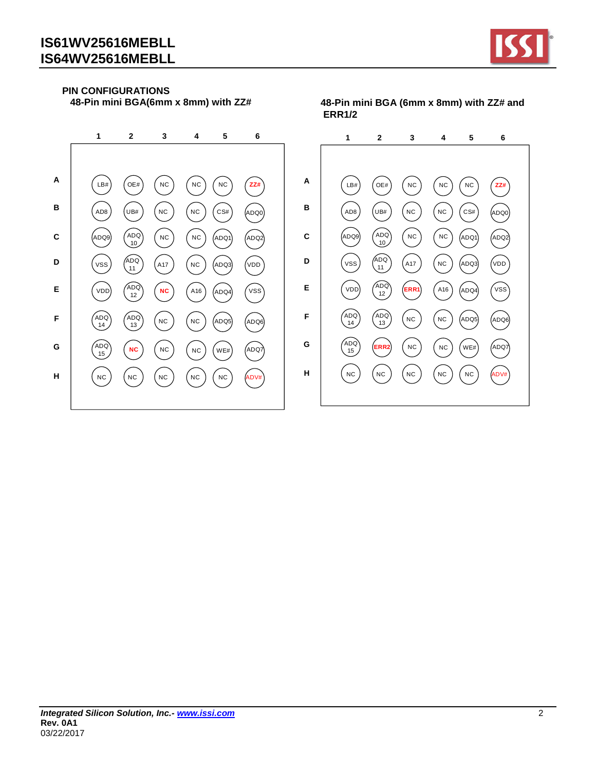**A**

**B**

**C**

**D**

**E**

**F**

**G**

**H**



## **PIN CONFIGURATIONS**

 **48-Pin mini BGA(6mm x 8mm) with ZZ#**

LB# OE# N C N C N C **ZZ#**  $(ADB)$   $(UB#)$   $(NC)$   $(NC)$   $(CS#)$   $(ADQ)$  $(ADQ9) \quad (ADQ) \quad (NC$  $(NC)$   $(ADQ1)$   $(ADQ2)$  $VSS$   $\begin{pmatrix} ADQ \\ 11 \end{pmatrix}$  $(417)$   $(NC)$   $(ADQ3)$   $(VDD)$ VDD **N C** ADQ NC (A16 ADQ4 (VSS  $\binom{ADQ}{14}$  $\begin{pmatrix} ADQ \\ 13 \end{pmatrix}$   $\begin{pmatrix} NC \end{pmatrix}$  $($ NC  $)$   $($ ADQ5 $)$   $($ ADQ6 $)$ ADQ<br>15 15 **NC** ) (NC ) (NC ) (WE#) (ADQ7)  $(NC)$   $(NC)$   $(NC)$   $(NC)$   $(NC)$   $ADV#$ **1 2 3 4 5 6 A B C D E F G H**  $\binom{ADQ}{14}$  $\binom{ADQ}{15}$ 

 **48-Pin mini BGA (6mm x 8mm) with ZZ# and ERR1/2**

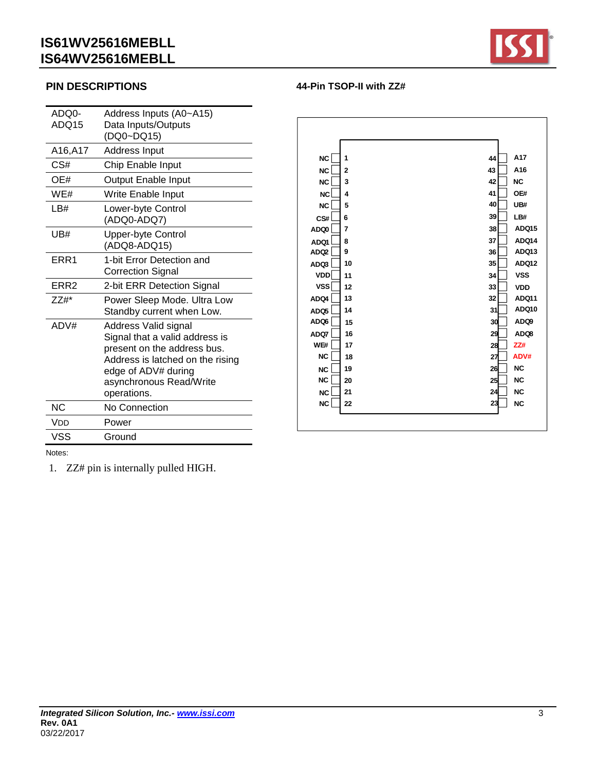

## **PIN DESCRIPTIONS**

| ADQ15<br>Data Inputs/Outputs<br>(DQ0~DQ15)<br>A16,A17<br>Address Input<br>CS#<br>Chip Enable Input<br>OE#<br><b>Output Enable Input</b><br>WE#<br>Write Enable Input<br>LB#<br>Lower-byte Control<br>(ADQ0-ADQ7)<br><b>Upper-byte Control</b><br>UB#<br>(ADQ8-ADQ15)<br>ERR1<br>1-bit Error Detection and<br><b>Correction Signal</b><br>ERR <sub>2</sub><br>2-bit ERR Detection Signal<br>$ZZ#$ *<br>Power Sleep Mode. Ultra Low<br>Standby current when Low.<br>ADV#<br>Address Valid signal<br>Signal that a valid address is<br>present on the address bus.<br>Address is latched on the rising<br>edge of ADV# during<br>asynchronous Read/Write<br>operations.<br><b>NC</b><br>No Connection<br>Vdd<br>Power<br>VSS<br>Ground | ADQ0- | Address Inputs (A0~A15) |
|-------------------------------------------------------------------------------------------------------------------------------------------------------------------------------------------------------------------------------------------------------------------------------------------------------------------------------------------------------------------------------------------------------------------------------------------------------------------------------------------------------------------------------------------------------------------------------------------------------------------------------------------------------------------------------------------------------------------------------------|-------|-------------------------|
|                                                                                                                                                                                                                                                                                                                                                                                                                                                                                                                                                                                                                                                                                                                                     |       |                         |
|                                                                                                                                                                                                                                                                                                                                                                                                                                                                                                                                                                                                                                                                                                                                     |       |                         |
|                                                                                                                                                                                                                                                                                                                                                                                                                                                                                                                                                                                                                                                                                                                                     |       |                         |
|                                                                                                                                                                                                                                                                                                                                                                                                                                                                                                                                                                                                                                                                                                                                     |       |                         |
|                                                                                                                                                                                                                                                                                                                                                                                                                                                                                                                                                                                                                                                                                                                                     |       |                         |
|                                                                                                                                                                                                                                                                                                                                                                                                                                                                                                                                                                                                                                                                                                                                     |       |                         |
|                                                                                                                                                                                                                                                                                                                                                                                                                                                                                                                                                                                                                                                                                                                                     |       |                         |
|                                                                                                                                                                                                                                                                                                                                                                                                                                                                                                                                                                                                                                                                                                                                     |       |                         |
|                                                                                                                                                                                                                                                                                                                                                                                                                                                                                                                                                                                                                                                                                                                                     |       |                         |
|                                                                                                                                                                                                                                                                                                                                                                                                                                                                                                                                                                                                                                                                                                                                     |       |                         |
|                                                                                                                                                                                                                                                                                                                                                                                                                                                                                                                                                                                                                                                                                                                                     |       |                         |
|                                                                                                                                                                                                                                                                                                                                                                                                                                                                                                                                                                                                                                                                                                                                     |       |                         |
|                                                                                                                                                                                                                                                                                                                                                                                                                                                                                                                                                                                                                                                                                                                                     |       |                         |
|                                                                                                                                                                                                                                                                                                                                                                                                                                                                                                                                                                                                                                                                                                                                     |       |                         |
|                                                                                                                                                                                                                                                                                                                                                                                                                                                                                                                                                                                                                                                                                                                                     |       |                         |
|                                                                                                                                                                                                                                                                                                                                                                                                                                                                                                                                                                                                                                                                                                                                     |       |                         |
|                                                                                                                                                                                                                                                                                                                                                                                                                                                                                                                                                                                                                                                                                                                                     |       |                         |
|                                                                                                                                                                                                                                                                                                                                                                                                                                                                                                                                                                                                                                                                                                                                     |       |                         |
|                                                                                                                                                                                                                                                                                                                                                                                                                                                                                                                                                                                                                                                                                                                                     |       |                         |
|                                                                                                                                                                                                                                                                                                                                                                                                                                                                                                                                                                                                                                                                                                                                     |       |                         |
|                                                                                                                                                                                                                                                                                                                                                                                                                                                                                                                                                                                                                                                                                                                                     |       |                         |
|                                                                                                                                                                                                                                                                                                                                                                                                                                                                                                                                                                                                                                                                                                                                     |       |                         |
|                                                                                                                                                                                                                                                                                                                                                                                                                                                                                                                                                                                                                                                                                                                                     |       |                         |
|                                                                                                                                                                                                                                                                                                                                                                                                                                                                                                                                                                                                                                                                                                                                     |       |                         |
|                                                                                                                                                                                                                                                                                                                                                                                                                                                                                                                                                                                                                                                                                                                                     |       |                         |

| <b>NC</b>        | 1              | A17<br>44          |
|------------------|----------------|--------------------|
| <b>NC</b>        | $\overline{2}$ | A16<br>43          |
| <b>NC</b>        | 3              | <b>NC</b><br>42    |
| <b>NC</b>        | 4              | 41<br>OE#          |
| <b>NC</b>        | 5              | 40<br>UB#          |
| CS#              | 6              | 39<br>LB#          |
| AD <sub>00</sub> | $\overline{7}$ | ADQ15<br>38        |
| <b>ADQ1</b>      | 8              | 37<br><b>ADQ14</b> |
| ADQ2             | 9              | ADQ13<br>36        |
| ADQ3             | 10             | ADQ12<br>35        |
| <b>VDD</b>       | 11             | <b>VSS</b><br>34   |
| <b>VSS</b>       | 12             | 33<br><b>VDD</b>   |
| ADQ4             | 13             | <b>ADQ11</b><br>32 |
| ADQ <sub>5</sub> | 14             | ADQ10<br>31        |
| ADQ6             | 15             | ADQ9<br>30         |
| ADQ7             | 16             | 29<br>ADQ8         |
| WE#              | 17             | ZZ#<br>28          |
| NC               | 18             | ADV#<br>27         |
| <b>NC</b>        | 19             | <b>NC</b><br>26    |
| <b>NC</b>        | 20             | <b>NC</b><br>25    |
| <b>NC</b>        | 21             | <b>NC</b><br>24    |
| <b>NC</b>        | 22             | <b>NC</b><br>23    |
|                  |                |                    |
|                  |                |                    |

**44-Pin TSOP-II with ZZ#**

Notes:

1. ZZ# pin is internally pulled HIGH.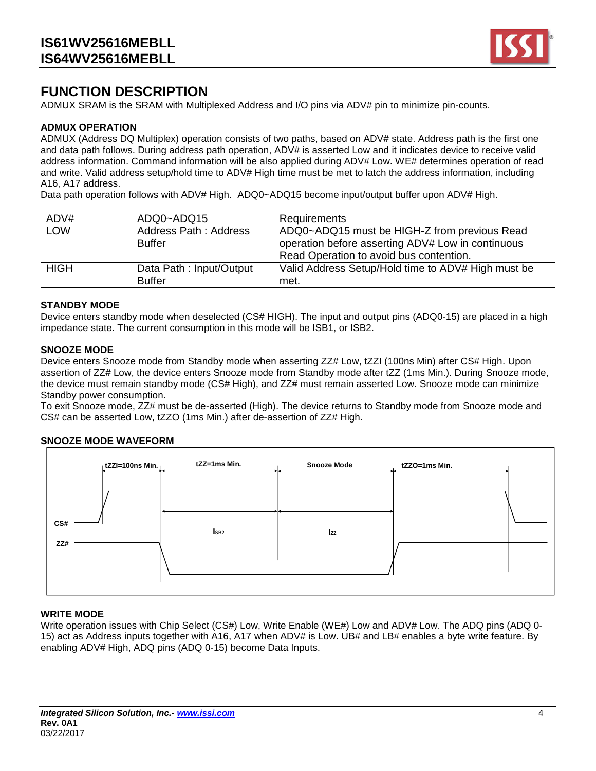

# **FUNCTION DESCRIPTION**

ADMUX SRAM is the SRAM with Multiplexed Address and I/O pins via ADV# pin to minimize pin-counts.

#### **ADMUX OPERATION**

ADMUX (Address DQ Multiplex) operation consists of two paths, based on ADV# state. Address path is the first one and data path follows. During address path operation, ADV# is asserted Low and it indicates device to receive valid address information. Command information will be also applied during ADV# Low. WE# determines operation of read and write. Valid address setup/hold time to ADV# High time must be met to latch the address information, including A16, A17 address.

Data path operation follows with ADV# High. ADQ0~ADQ15 become input/output buffer upon ADV# High.

| ADV#        | ADQ0~ADQ15                               | <b>Requirements</b>                                                                                                                          |
|-------------|------------------------------------------|----------------------------------------------------------------------------------------------------------------------------------------------|
| <b>LOW</b>  | Address Path: Address<br><b>Buffer</b>   | ADQ0~ADQ15 must be HIGH-Z from previous Read<br>operation before asserting ADV# Low in continuous<br>Read Operation to avoid bus contention. |
| <b>HIGH</b> | Data Path: Input/Output<br><b>Buffer</b> | Valid Address Setup/Hold time to ADV# High must be<br>met.                                                                                   |

#### **STANDBY MODE**

Device enters standby mode when deselected (CS# HIGH). The input and output pins (ADQ0-15) are placed in a high impedance state. The current consumption in this mode will be ISB1, or ISB2.

#### **SNOOZE MODE**

Device enters Snooze mode from Standby mode when asserting ZZ# Low, tZZI (100ns Min) after CS# High. Upon assertion of ZZ# Low, the device enters Snooze mode from Standby mode after tZZ (1ms Min.). During Snooze mode, the device must remain standby mode (CS# High), and ZZ# must remain asserted Low. Snooze mode can minimize Standby power consumption.

To exit Snooze mode, ZZ# must be de-asserted (High). The device returns to Standby mode from Snooze mode and CS# can be asserted Low, tZZO (1ms Min.) after de-assertion of ZZ# High.

#### **SNOOZE MODE WAVEFORM**

| tZZI=100ns Min. | tZZ=1ms Min.    | <b>Snooze Mode</b> | tZZO=1ms Min. |  |
|-----------------|-----------------|--------------------|---------------|--|
|                 |                 |                    |               |  |
|                 |                 |                    |               |  |
| CS#             | SB <sub>2</sub> | Izz                |               |  |
| ZZ#             |                 |                    |               |  |
|                 |                 |                    |               |  |

#### **WRITE MODE**

Write operation issues with Chip Select (CS#) Low, Write Enable (WE#) Low and ADV# Low. The ADQ pins (ADQ 0-15) act as Address inputs together with A16, A17 when ADV# is Low. UB# and LB# enables a byte write feature. By enabling ADV# High, ADQ pins (ADQ 0-15) become Data Inputs.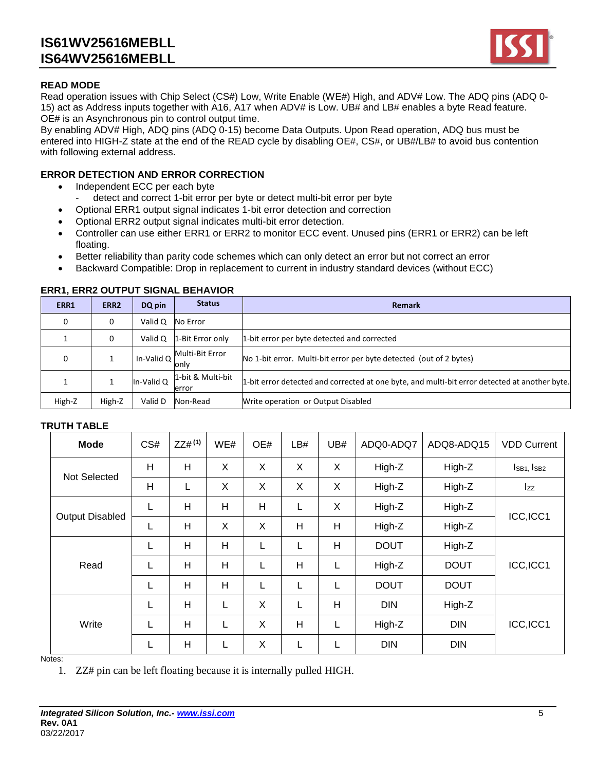

## **READ MODE**

Read operation issues with Chip Select (CS#) Low, Write Enable (WE#) High, and ADV# Low. The ADQ pins (ADQ 0- 15) act as Address inputs together with A16, A17 when ADV# is Low. UB# and LB# enables a byte Read feature. OE# is an Asynchronous pin to control output time.

By enabling ADV# High, ADQ pins (ADQ 0-15) become Data Outputs. Upon Read operation, ADQ bus must be entered into HIGH-Z state at the end of the READ cycle by disabling OE#, CS#, or UB#/LB# to avoid bus contention with following external address.

### **ERROR DETECTION AND ERROR CORRECTION**

- Independent ECC per each byte
	- detect and correct 1-bit error per byte or detect multi-bit error per byte
- Optional ERR1 output signal indicates 1-bit error detection and correction
- Optional ERR2 output signal indicates multi-bit error detection.
- Controller can use either ERR1 or ERR2 to monitor ECC event. Unused pins (ERR1 or ERR2) can be left floating.
- Better reliability than parity code schemes which can only detect an error but not correct an error
- Backward Compatible: Drop in replacement to current in industry standard devices (without ECC)

|        |                  |            | LINNI: LINNE VVIII VI VIVINAL DLIIATIVIN |                                                                                               |
|--------|------------------|------------|------------------------------------------|-----------------------------------------------------------------------------------------------|
| ERR1   | ERR <sub>2</sub> | DQ pin     | <b>Status</b>                            | <b>Remark</b>                                                                                 |
| 0      | 0                | Valid Q    | No Error                                 |                                                                                               |
|        | 0                | Valid Q    | 1-Bit Error only                         | 1-bit error per byte detected and corrected                                                   |
| 0      |                  | In-Valid Q | Multi-Bit Error<br>onlv                  | No 1-bit error. Multi-bit error per byte detected (out of 2 bytes)                            |
|        |                  | In-Valid Q | l1-bit & Multi-bit<br>error              | 1-bit error detected and corrected at one byte, and multi-bit error detected at another byte. |
| High-Z | High-Z           | Valid D    | Non-Read                                 | Write operation or Output Disabled                                                            |

#### **ERR1, ERR2 OUTPUT SIGNAL BEHAVIOR**

#### **TRUTH TABLE**

| <b>Mode</b>            | CS#          | $ZZ#^{(1)}$ | WE# | OE# | LB# | UB# | ADQ0-ADQ7   | ADQ8-ADQ15  | <b>VDD Current</b>    |  |
|------------------------|--------------|-------------|-----|-----|-----|-----|-------------|-------------|-----------------------|--|
| <b>Not Selected</b>    | H            | H           | X   | X   | X   | X   | High-Z      | High-Z      | $I_{SB1}$ , $I_{SB2}$ |  |
|                        | $\mathsf{H}$ | L           | X   | X   | X   | X   | High-Z      | High-Z      | Izz                   |  |
|                        | L            | H           | H   | H   | L   | X   | High-Z      | High-Z      | ICC, ICC1             |  |
| <b>Output Disabled</b> | L            | H           | X   | X   | H   | H   | High-Z      | High-Z      |                       |  |
|                        | L            | H           | H   |     | L   | H   | <b>DOUT</b> | High-Z      |                       |  |
| Read                   | L            | H           | H   |     | H   | L   | High-Z      | <b>DOUT</b> | ICC, ICC1             |  |
|                        | L            | H           | H   |     | L   | L   | <b>DOUT</b> | <b>DOUT</b> |                       |  |
| Write                  | L            | H           | L   | X   | L   | H   | <b>DIN</b>  | High-Z      |                       |  |
|                        | L            | H           | L   | X   | H   | L   | High-Z      | <b>DIN</b>  | ICC, ICC1             |  |
|                        | L            | Н           | L   | X   | L   | L   | <b>DIN</b>  | <b>DIN</b>  |                       |  |

#### Notes:

1. ZZ# pin can be left floating because it is internally pulled HIGH.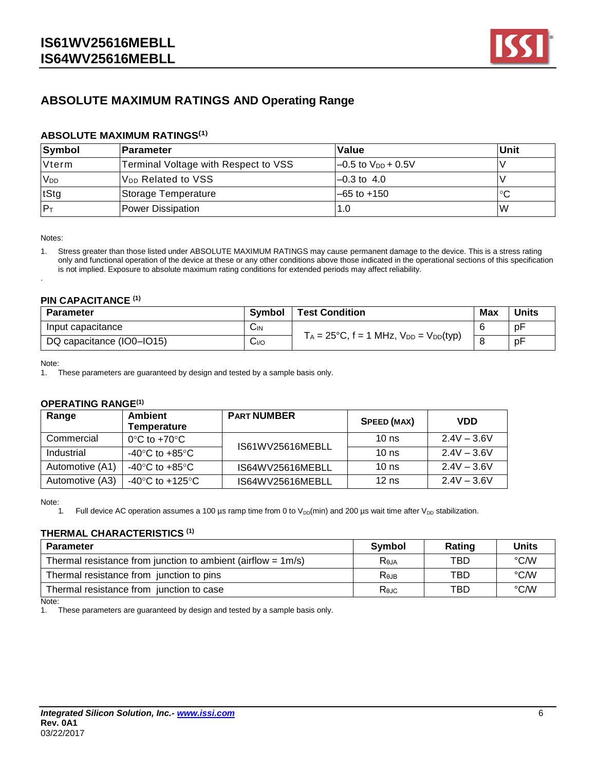

## **ABSOLUTE MAXIMUM RATINGS AND Operating Range**

#### **ABSOLUTE MAXIMUM RATINGS(1)**

| Symbol                | ∣Parameter                           | Value                     | Unit |
|-----------------------|--------------------------------------|---------------------------|------|
| Vterm                 | Terminal Voltage with Respect to VSS | $-0.5$ to $V_{DD}$ + 0.5V |      |
| <b>V<sub>DD</sub></b> | V <sub>DD</sub> Related to VSS       | $-0.3$ to $-4.0$          |      |
| tStg                  | Storage Temperature                  | $-65$ to $+150$           | °C   |
| $P_T$                 | Power Dissipation                    | 1.0                       | W    |

Notes:

.

1. Stress greater than those listed under ABSOLUTE MAXIMUM RATINGS may cause permanent damage to the device. This is a stress rating only and functional operation of the device at these or any other conditions above those indicated in the operational sections of this specification is not implied. Exposure to absolute maximum rating conditions for extended periods may affect reliability.

#### **PIN CAPACITANCE (1)**

| <b>Parameter</b>          | Symbol            | <b>Test Condition</b>                                   | <b>Max</b> | <b>Units</b> |
|---------------------------|-------------------|---------------------------------------------------------|------------|--------------|
| Input capacitance         | $C_{\mathsf{IN}}$ |                                                         |            | рF           |
| DQ capacitance (IO0-IO15) | 0∥َآبا            | $T_A = 25^{\circ}C$ , f = 1 MHz, $V_{DD} = V_{DD}(typ)$ |            | pF           |

Note:

1. These parameters are guaranteed by design and tested by a sample basis only.

#### **OPERATING RANGE(1)**

| Range           | <b>Ambient</b><br>Temperature                        | <b>PART NUMBER</b> | SPEED (MAX)      | <b>VDD</b>    |
|-----------------|------------------------------------------------------|--------------------|------------------|---------------|
| Commercial      | $0^{\circ}$ C to +70 $^{\circ}$ C                    | IS61WV25616MEBLL   | $10$ ns          | $2.4V - 3.6V$ |
| Industrial      | $-40^{\circ}$ C to $+85^{\circ}$ C                   |                    | $10$ ns          | $2.4V - 3.6V$ |
| Automotive (A1) | -40 $\mathrm{^{\circ}C}$ to +85 $\mathrm{^{\circ}C}$ | IS64WV25616MEBLL   | 10 <sub>ns</sub> | $2.4V - 3.6V$ |
| Automotive (A3) | -40°C to +125°C                                      | IS64WV25616MEBLL   | $12$ ns          | $2.4V - 3.6V$ |

Note:

1. Full device AC operation assumes a 100 µs ramp time from 0 to  $V_{DD}(min)$  and 200 µs wait time after  $V_{DD}$  stabilization.

#### **THERMAL CHARACTERISTICS (1)**

| <b>Parameter</b>                                                | Symbol           | Rating | Units |
|-----------------------------------------------------------------|------------------|--------|-------|
| Thermal resistance from junction to ambient (airflow $= 1m/s$ ) | Reja             | TBD    | °C/W  |
| Thermal resistance from junction to pins                        | R <sub>ejB</sub> | TBD    | °C∕W  |
| Thermal resistance from junction to case                        | Rejc             | TBD    | °C∕W  |

Note:

1. These parameters are guaranteed by design and tested by a sample basis only.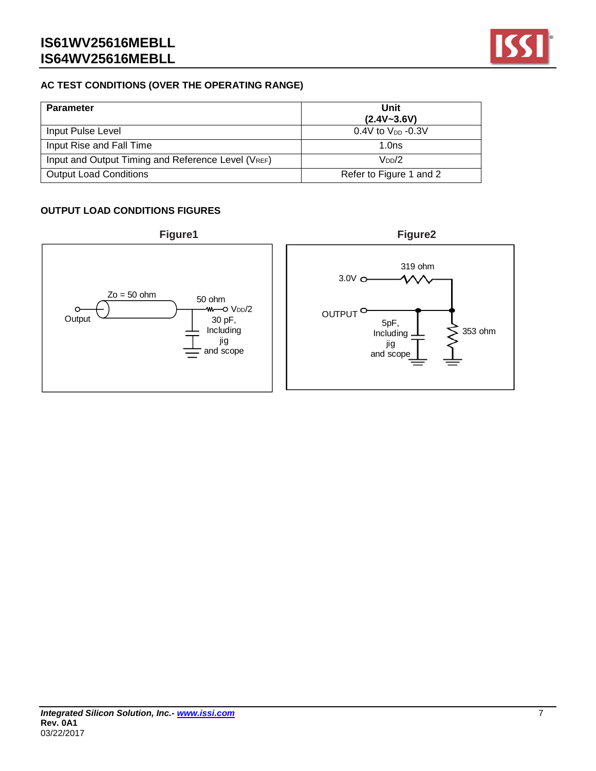

## **AC TEST CONDITIONS (OVER THE OPERATING RANGE)**

| <b>Parameter</b>                                                | Unit<br>$(2.4V - 3.6V)$ |
|-----------------------------------------------------------------|-------------------------|
| Input Pulse Level                                               | 0.4V to $V_{DD}$ -0.3V  |
| Input Rise and Fall Time                                        | 1.0ns                   |
| Input and Output Timing and Reference Level (V <sub>REF</sub> ) | $V_{DD}/2$              |
| <b>Output Load Conditions</b>                                   | Refer to Figure 1 and 2 |

## **OUTPUT LOAD CONDITIONS FIGURES**

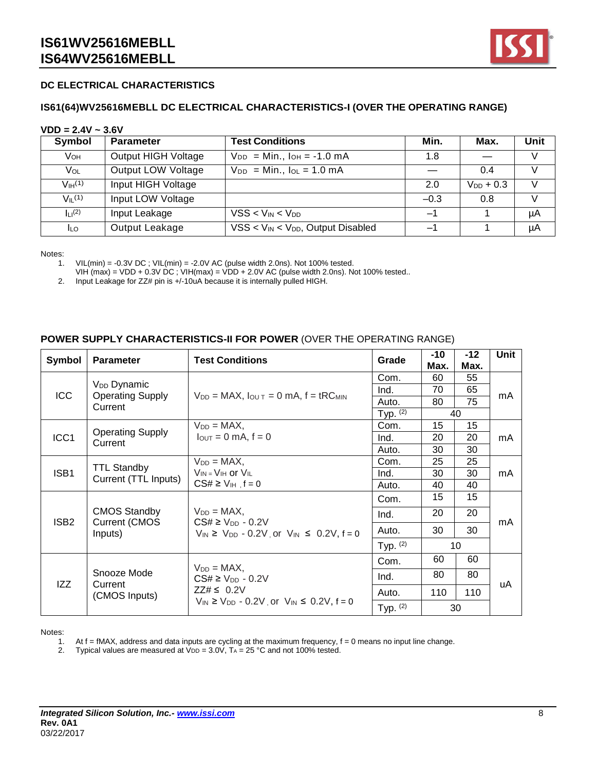

#### **DC ELECTRICAL CHARACTERISTICS**

#### **IS61(64)WV25616MEBLL DC ELECTRICAL CHARACTERISTICS-I (OVER THE OPERATING RANGE)**

#### **VDD = 2.4V ~ 3.6V**

| Symbol                         | <b>Parameter</b>           | <b>Test Conditions</b>                    | Min.       | Max.           | Unit          |
|--------------------------------|----------------------------|-------------------------------------------|------------|----------------|---------------|
| VOH                            | <b>Output HIGH Voltage</b> | $V_{DD} = Min.$ , $I_{OH} = -1.0 mA$      | 1.8        |                | $\vee$        |
| Vol                            | Output LOW Voltage         | $V_{DD}$ = Min., $I_{OL}$ = 1.0 mA        |            | 0.4            |               |
| V <sub>IH</sub> <sup>(1)</sup> | Input HIGH Voltage         |                                           | 2.0        | $V_{DD} + 0.3$ | $\vee$        |
| $V_{II}$ (1)                   | Input LOW Voltage          |                                           | $-0.3$     | 0.8            | $\mathcal{U}$ |
| $L^{(2)}$                      | Input Leakage              | $VSS < V_{IN} < V_{DD}$                   | <b>一</b> " |                | μA            |
| <b>ILO</b>                     | Output Leakage             | $VSS < V_{IN} < V_{DD}$ , Output Disabled | —1         |                | μA            |

Notes:

1. VIL(min) = -0.3V DC ; VIL(min) = -2.0V AC (pulse width 2.0ns). Not 100% tested.

VIH (max) = VDD +  $0.3V$  DC; VIH(max) = VDD +  $2.0V$  AC (pulse width  $2.0ns$ ). Not 100% tested..

2. Input Leakage for ZZ# pin is +/-10uA because it is internally pulled HIGH.

#### **POWER SUPPLY CHARACTERISTICS-II FOR POWER** (OVER THE OPERATING RANGE)

| <b>Symbol</b>    | <b>Parameter</b>                                              | <b>Test Conditions</b>                                                                                    | Grade      | $-10$<br>Max. | $-12$<br>Max. | Unit |
|------------------|---------------------------------------------------------------|-----------------------------------------------------------------------------------------------------------|------------|---------------|---------------|------|
|                  |                                                               |                                                                                                           | Com.       | 60            | 55            |      |
|                  | V <sub>DD</sub> Dynamic<br><b>Operating Supply</b><br>Current |                                                                                                           | Ind.       | 70            | 65            | mA   |
| <b>ICC</b>       |                                                               | $V_{DD} = MAX$ , $I_{OUT} = 0$ mA, $f = tRC_{MIN}$                                                        | Auto.      | 80            | 75            |      |
|                  |                                                               |                                                                                                           | Typ. $(2)$ | 40            |               |      |
|                  |                                                               | $V_{DD} = MAX$                                                                                            | Com.       | 15            | 15            |      |
| ICC1             | <b>Operating Supply</b><br>Current                            | $I_{\text{OUT}} = 0 \text{ mA}, f = 0$                                                                    | Ind.       | 20            | 20            | mA   |
|                  |                                                               |                                                                                                           | Auto.      | 30            | 30            |      |
|                  |                                                               | $V_{DD} = MAX$                                                                                            | Com.       | 25            | 25            |      |
| ISB <sub>1</sub> | <b>TTL Standby</b><br>Current (TTL Inputs)                    | $V_{IN} = V_{IH}$ or $V_{IL}$                                                                             | Ind.       | 30            | 30            | mA.  |
|                  |                                                               | $CS# \geq V_{\text{IH}}$ , f = 0                                                                          | Auto.      | 40            | 40            |      |
| ISB <sub>2</sub> | <b>CMOS Standby</b><br><b>Current (CMOS</b><br>Inputs)        | $V_{DD} = MAX$<br>$CS# \geq V_{DD} - 0.2V$<br>$V_{IN} \ge V_{DD} - 0.2V$ , or $V_{IN} \le 0.2V$ , $f = 0$ | Com.       | 15            | 15            | mA   |
|                  |                                                               |                                                                                                           | Ind.       | 20            | 20            |      |
|                  |                                                               |                                                                                                           | Auto.      | 30            | 30            |      |
|                  |                                                               |                                                                                                           | Typ. $(2)$ |               | 10            |      |
| IZZ              | Snooze Mode<br>Current<br>(CMOS Inputs)                       | $V_{DD} = MAX$<br>$CS# \geq V_{DD} - 0.2V$<br>$ZZ# \leq 0.2V$                                             | Com.       | 60            | 60            |      |
|                  |                                                               |                                                                                                           | Ind.       | 80            | 80            |      |
|                  |                                                               |                                                                                                           | Auto.      | 110           | 110           | uA   |
|                  |                                                               | $V_{IN} \ge V_{DD} - 0.2V$ , or $V_{IN} \le 0.2V$ , $f = 0$                                               | Typ. $(2)$ |               | 30            |      |

Notes:

1. At  $f = fMAX$ , address and data inputs are cycling at the maximum frequency,  $f = 0$  means no input line change.

2. Typical values are measured at  $VDD = 3.0V$ ,  $Ta = 25 °C$  and not 100% tested.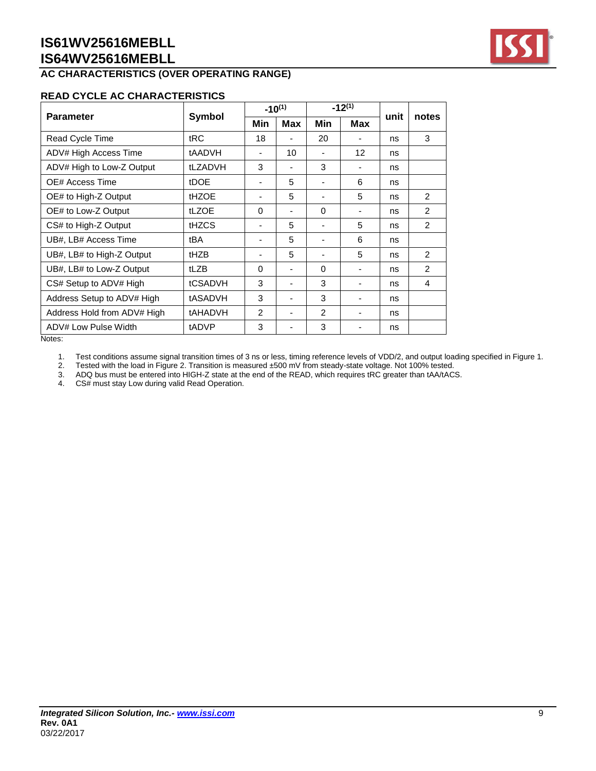# **AC CHARACTERISTICS (OVER OPERATING RANGE)**

#### **READ CYCLE AC CHARACTERISTICS**

| Symbol         | $-10^{(1)}$              |            | $-12^{(1)}$    |                   |    | notes          |  |
|----------------|--------------------------|------------|----------------|-------------------|----|----------------|--|
|                | Min                      | <b>Max</b> | Min            | <b>Max</b>        |    |                |  |
| tRC            | 18                       |            | 20             |                   | ns | 3              |  |
| tAADVH         |                          | 10         |                | $12 \overline{ }$ | ns |                |  |
| tLZADVH        | 3                        | ٠          | 3              |                   | ns |                |  |
| tDOE           | $\overline{\phantom{a}}$ | 5          |                | 6                 | ns |                |  |
| <b>tHZOE</b>   |                          | 5          |                | 5                 | ns | $\mathcal{P}$  |  |
| tLZOE          | $\Omega$                 | ۰          | 0              |                   | ns | 2              |  |
| tHZCS          | $\overline{\phantom{a}}$ | 5          | -              | 5                 | ns | $\overline{2}$ |  |
| tBA            | $\overline{\phantom{a}}$ | 5          |                | 6                 | ns |                |  |
| tHZB           |                          | 5          |                | 5                 | ns | 2              |  |
| tLZB           | $\Omega$                 | ۰          | $\Omega$       |                   | ns | $\mathcal{P}$  |  |
| tCSADVH        | 3                        |            | 3              |                   | ns | 4              |  |
| tASADVH        | 3                        |            | 3              |                   | ns |                |  |
| <b>tAHADVH</b> | 2                        | ۰          | $\mathfrak{p}$ |                   | ns |                |  |
| tADVP          | 3                        |            | 3              |                   | ns |                |  |
|                |                          |            |                |                   |    | unit           |  |

Notes:

1. Test conditions assume signal transition times of 3 ns or less, timing reference levels of VDD/2, and output loading specified in Figure 1.

2. Tested with the load in Figure 2. Transition is measured ±500 mV from steady-state voltage. Not 100% tested.

3. ADQ bus must be entered into HIGH-Z state at the end of the READ, which requires tRC greater than tAA/tACS.

4. CS# must stay Low during valid Read Operation.

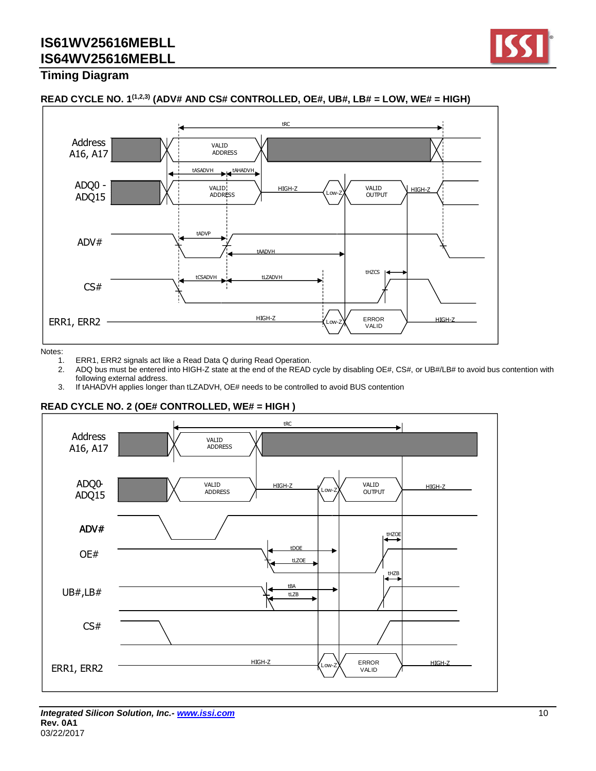

## **Timing Diagram**



#### **READ CYCLE NO. 1(1,2,3) (ADV# AND CS# CONTROLLED, OE#, UB#, LB# = LOW, WE# = HIGH)**

Notes:

- 
- 1. ERR1, ERR2 signals act like a Read Data Q during Read Operation.<br>2. ADQ bus must be entered into HIGH-Z state at the end of the READ 2. ADQ bus must be entered into HIGH-Z state at the end of the READ cycle by disabling OE#, CS#, or UB#/LB# to avoid bus contention with following external address.
- 3. If tAHADVH applies longer than tLZADVH, OE# needs to be controlled to avoid BUS contention

#### **READ CYCLE NO. 2 (OE# CONTROLLED, WE# = HIGH )**

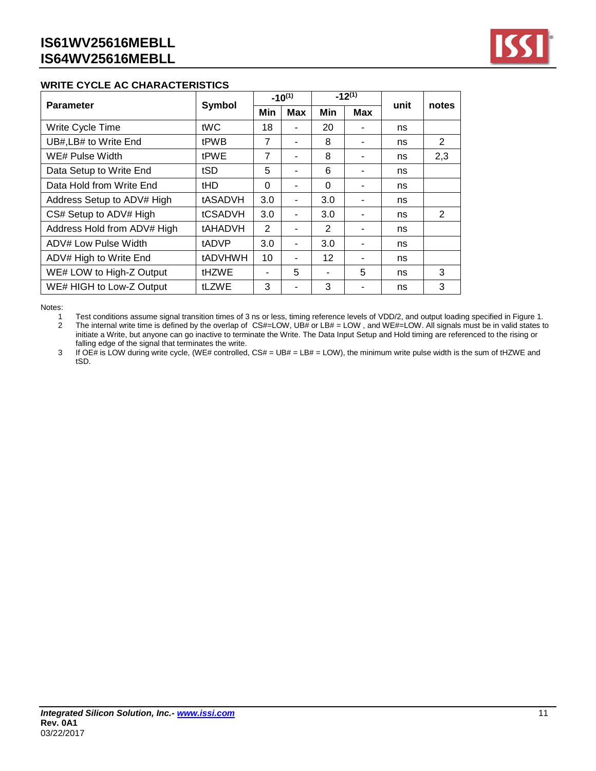

#### **WRITE CYCLE AC CHARACTERISTICS**

| <b>Parameter</b>            | Symbol         | $-10^{(1)}$   |                | $-12^{(1)}$ |            | unit | notes |  |
|-----------------------------|----------------|---------------|----------------|-------------|------------|------|-------|--|
|                             |                | Min           | <b>Max</b>     | Min         | <b>Max</b> |      |       |  |
| Write Cycle Time            | tWC            | 18            |                | 20          |            | ns   |       |  |
| UB#, LB# to Write End       | tPWB           | 7             | ۰              | 8           |            | ns   | 2     |  |
| WE# Pulse Width             | <b>tPWE</b>    | 7             |                | 8           |            | ns   | 2,3   |  |
| Data Setup to Write End     | tSD            | 5             |                | 6           |            | ns   |       |  |
| Data Hold from Write End    | tHD            | 0             | ۰              | $\Omega$    |            | ns   |       |  |
| Address Setup to ADV# High  | tASADVH        | 3.0           |                | 3.0         |            | ns   |       |  |
| CS# Setup to ADV# High      | tCSADVH        | 3.0           | ۰              | 3.0         |            | ns   | 2     |  |
| Address Hold from ADV# High | tAHADVH        | $\mathcal{P}$ | ۰              | 2           |            | ns   |       |  |
| ADV# Low Pulse Width        | tADVP          | 3.0           | ۰              | 3.0         |            | ns   |       |  |
| ADV# High to Write End      | <b>tADVHWH</b> | 10            | $\blacksquare$ | 12          |            | ns   |       |  |
| WE# LOW to High-Z Output    | <b>tHZWE</b>   |               | 5              |             | 5          | ns   | 3     |  |
| WE# HIGH to Low-Z Output    | tLZWE          | 3             |                | 3           |            | ns   | 3     |  |

Notes:<br>1

1 Test conditions assume signal transition times of 3 ns or less, timing reference levels of VDD/2, and output loading specified in Figure 1.<br>2 The internal write time is defined by the overlap of CS#=LOW, UB# or LB# = LOW 2 The internal write time is defined by the overlap of CS#=LOW, UB# or LB# = LOW , and WE#=LOW. All signals must be in valid states to

initiate a Write, but anyone can go inactive to terminate the Write. The Data Input Setup and Hold timing are referenced to the rising or falling edge of the signal that terminates the write.

3 If OE# is LOW during write cycle, (WE# controlled,  $CS# = UB# = LB# = LOW$ ), the minimum write pulse width is the sum of tHZWE and tSD.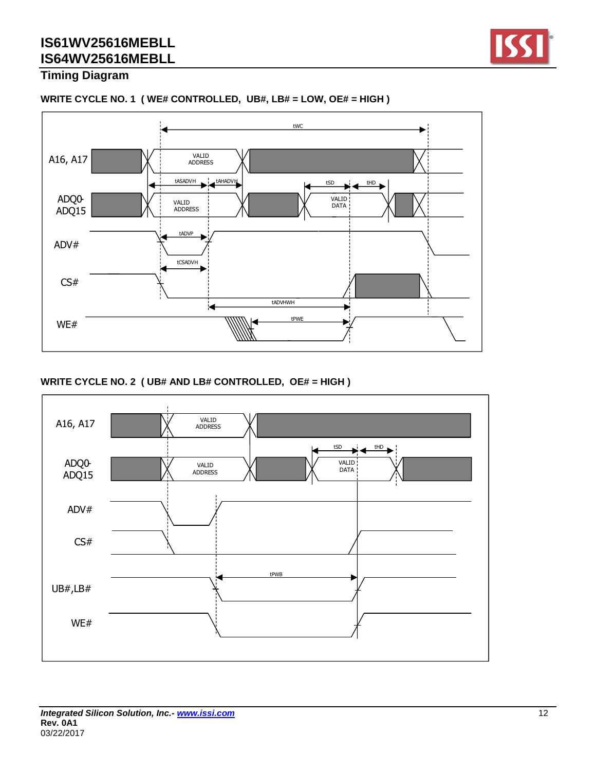

## **Timing Diagram**

#### **WRITE CYCLE NO. 1 ( WE# CONTROLLED, UB#, LB# = LOW, OE# = HIGH )**



#### **WRITE CYCLE NO. 2 ( UB# AND LB# CONTROLLED, OE# = HIGH )**

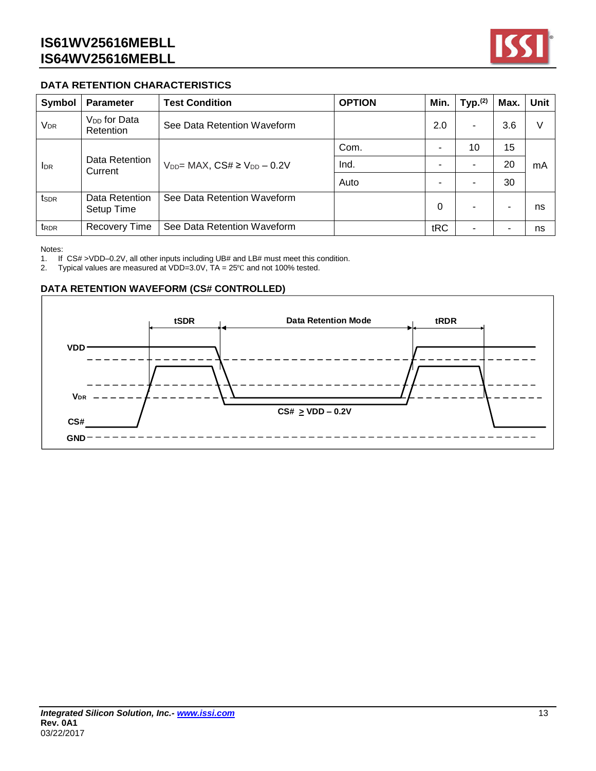

## **DATA RETENTION CHARACTERISTICS**

| Symbol                | <b>Parameter</b>                      | <b>Test Condition</b>                 | <b>OPTION</b> | Min.     | Type <sub>1</sub> (2) | Max. | Unit |
|-----------------------|---------------------------------------|---------------------------------------|---------------|----------|-----------------------|------|------|
| <b>V<sub>DR</sub></b> | V <sub>DD</sub> for Data<br>Retention | See Data Retention Waveform           |               | 2.0      | -                     | 3.6  | ٧    |
| I <sub>DR</sub>       |                                       | $V_{DD}$ MAX, $CS# \ge V_{DD} - 0.2V$ | Com.          |          | 10                    | 15   |      |
|                       | Data Retention<br>Current             |                                       | Ind.          |          |                       | 20   | mA   |
|                       |                                       |                                       | Auto          |          |                       | 30   |      |
| ts <sub>DR</sub>      | Data Retention<br>Setup Time          | See Data Retention Waveform           |               | $\Omega$ | -                     |      | ns   |
| t <sub>RDR</sub>      | <b>Recovery Time</b>                  | See Data Retention Waveform           |               | tRC      |                       | -    | ns   |

Notes:

1. If CS# >VDD–0.2V, all other inputs including UB# and LB# must meet this condition.

2. Typical values are measured at VDD=3.0V,  $TA = 25^{\circ}C$  and not 100% tested.

#### **DATA RETENTION WAVEFORM (CS# CONTROLLED)**

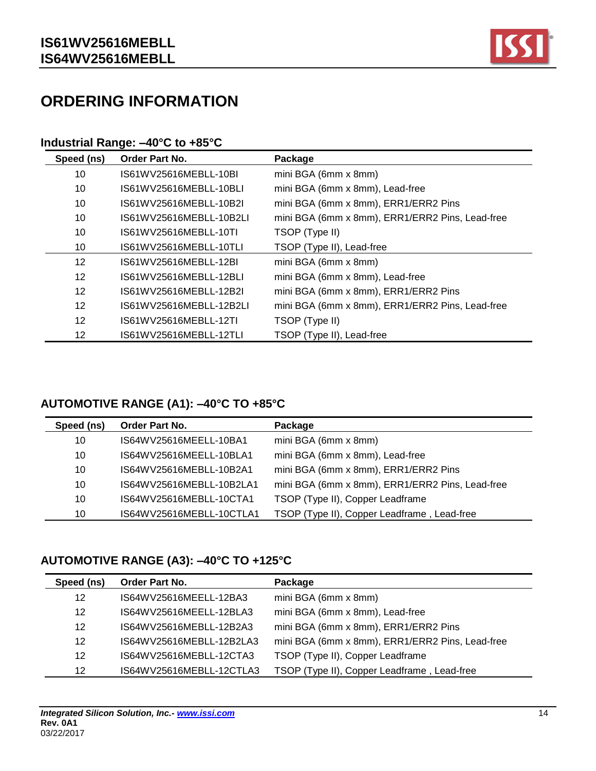

# **ORDERING INFORMATION**

## **Industrial Range: –40°C to +85°C**

| Speed (ns)        | Order Part No.          | Package                                         |
|-------------------|-------------------------|-------------------------------------------------|
| 10                | IS61WV25616MEBLL-10BI   | mini BGA (6mm x 8mm)                            |
| 10                | IS61WV25616MEBLL-10BLI  | mini BGA (6mm x 8mm), Lead-free                 |
| 10                | IS61WV25616MEBLL-10B2I  | mini BGA (6mm x 8mm), ERR1/ERR2 Pins            |
| 10                | IS61WV25616MEBLL-10B2LI | mini BGA (6mm x 8mm), ERR1/ERR2 Pins, Lead-free |
| 10                | IS61WV25616MEBLL-10TI   | TSOP (Type II)                                  |
| 10                | IS61WV25616MEBLL-10TLI  | TSOP (Type II), Lead-free                       |
| $12 \overline{ }$ | IS61WV25616MEBLL-12BI   | mini BGA (6mm x 8mm)                            |
| 12                | IS61WV25616MEBLL-12BLI  | mini BGA (6mm x 8mm), Lead-free                 |
| 12                | IS61WV25616MEBLL-12B2L  | mini BGA (6mm x 8mm), ERR1/ERR2 Pins            |
| 12                | IS61WV25616MEBLL-12B2LI | mini BGA (6mm x 8mm), ERR1/ERR2 Pins, Lead-free |
| 12                | IS61WV25616MEBLL-12TI   | TSOP (Type II)                                  |
| 12                | IS61WV25616MEBLL-12TLI  | TSOP (Type II), Lead-free                       |

# **AUTOMOTIVE RANGE (A1): –40°C TO +85°C**

| Speed (ns) | Order Part No.           | Package                                         |
|------------|--------------------------|-------------------------------------------------|
| 10         | IS64WV25616MEELL-10BA1   | mini BGA (6mm x 8mm)                            |
| 10         | IS64WV25616MEELL-10BLA1  | mini BGA (6mm x 8mm), Lead-free                 |
| 10         | IS64WV25616MEBLL-10B2A1  | mini BGA (6mm x 8mm), ERR1/ERR2 Pins            |
| 10         | IS64WV25616MEBLL-10B2LA1 | mini BGA (6mm x 8mm), ERR1/ERR2 Pins, Lead-free |
| 10         | IS64WV25616MEBLL-10CTA1  | TSOP (Type II), Copper Leadframe                |
| 10         | IS64WV25616MEBLL-10CTLA1 | TSOP (Type II), Copper Leadframe, Lead-free     |

# **AUTOMOTIVE RANGE (A3): –40°C TO +125°C**

| Speed (ns) | Order Part No.           | Package                                         |
|------------|--------------------------|-------------------------------------------------|
| 12         | IS64WV25616MEELL-12BA3   | mini BGA (6mm x 8mm)                            |
| 12         | IS64WV25616MEELL-12BLA3  | mini BGA (6mm x 8mm), Lead-free                 |
| 12         | IS64WV25616MEBLL-12B2A3  | mini BGA (6mm x 8mm), ERR1/ERR2 Pins            |
| 12         | IS64WV25616MEBLL-12B2LA3 | mini BGA (6mm x 8mm), ERR1/ERR2 Pins, Lead-free |
| 12         | IS64WV25616MEBLL-12CTA3  | TSOP (Type II), Copper Leadframe                |
| 12         | IS64WV25616MEBLL-12CTLA3 | TSOP (Type II), Copper Leadframe, Lead-free     |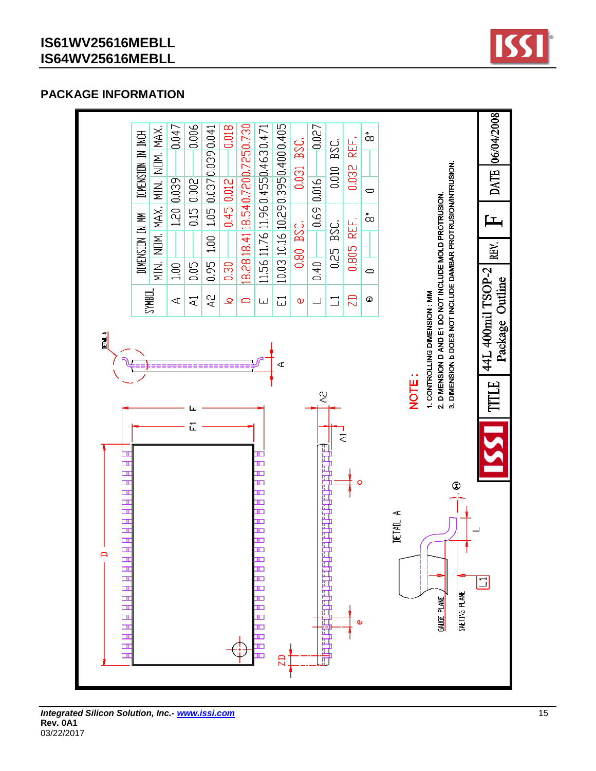

## **PACKAGE INFORMATION**